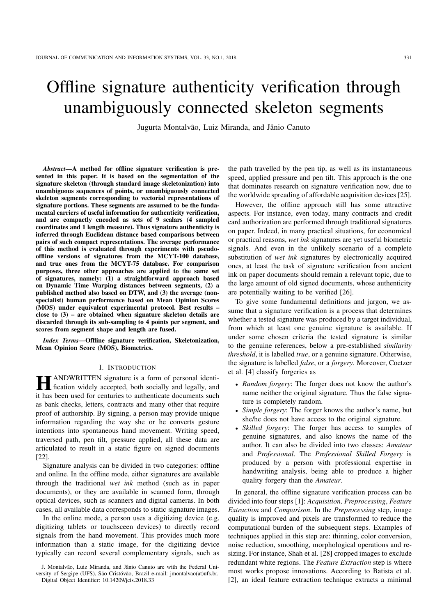# Offline signature authenticity verification through unambiguously connected skeleton segments

Jugurta Montalvão, Luiz Miranda, and Jânio Canuto

*Abstract*—A method for offline signature verification is presented in this paper. It is based on the segmentation of the signature skeleton (through standard image skeletonization) into unambiguous sequences of points, or unambiguously connected skeleton segments corresponding to vectorial representations of signature portions. These segments are assumed to be the fundamental carriers of useful information for authenticity verification, and are compactly encoded as sets of 9 scalars (4 sampled coordinates and 1 length measure). Thus signature authenticity is inferred through Euclidean distance based comparisons between pairs of such compact representations. The average performance of this method is evaluated through experiments with pseudooffline versions of signatures from the MCYT-100 database, and true ones from the MCYT-75 database. For comparison purposes, three other approaches are applied to the same set of signatures, namely: (1) a straightforward approach based on Dynamic Time Warping distances between segments, (2) a published method also based on DTW, and (3) the average (nonspecialist) human performance based on Mean Opinion Scores (MOS) under equivalent experimental protocol. Best results – close to  $(3)$  – are obtained when signature skeleton details are discarded through its sub-sampling to 4 points per segment, and scores from segment shape and length are fused.

*Index Terms*—Offline signature verification, Skeletonization, Mean Opinion Score (MOS), Biometrics.

### I. INTRODUCTION

**HE ANDWRITTEN** signature is a form of personal identification widely accepted, both socially and legally, and ANDWRITTEN signature is a form of personal identiit has been used for centuries to authenticate documents such as bank checks, letters, contracts and many other that require proof of authorship. By signing, a person may provide unique information regarding the way she or he converts gesture intentions into spontaneous hand movement. Writing speed, traversed path, pen tilt, pressure applied, all these data are articulated to result in a static figure on signed documents [22].

Signature analysis can be divided in two categories: offline and online. In the offline mode, either signatures are available through the traditional *wet ink* method (such as in paper documents), or they are available in scanned form, through optical devices, such as scanners and digital cameras. In both cases, all available data corresponds to static signature images.

In the online mode, a person uses a digitizing device (e.g. digitizing tablets or touchsceen devices) to directly record signals from the hand movement. This provides much more information than a static image, for the digitizing device typically can record several complementary signals, such as the path travelled by the pen tip, as well as its instantaneous speed, applied pressure and pen tilt. This approach is the one that dominates research on signature verification now, due to the worldwide spreading of affordable acquisition devices [25].

However, the offline approach still has some attractive aspects. For instance, even today, many contracts and credit card authorization are performed through traditional signatures on paper. Indeed, in many practical situations, for economical or practical reasons, *wet ink* signatures are yet useful biometric signals. And even in the unlikely scenario of a complete substitution of *wet ink* signatures by electronically acquired ones, at least the task of signature verification from ancient ink on paper documents should remain a relevant topic, due to the large amount of old signed documents, whose authenticity are potentially waiting to be verified [26].

To give some fundamental definitions and jargon, we assume that a signature verification is a process that determines whether a tested signature was produced by a target individual, from which at least one genuine signature is available. If under some chosen criteria the tested signature is similar to the genuine references, below a pre-established *similarity threshold*, it is labelled *true*, or a genuine signature. Otherwise, the signature is labelled *false*, or a *forgery*. Moreover, Coetzer et al. [4] classify forgeries as

- *Random forgery*: The forger does not know the author's name neither the original signature. Thus the false signature is completely random.
- *Simple forgery*: The forger knows the author's name, but she/he does not have access to the original signature.
- *Skilled forgery*: The forger has access to samples of genuine signatures, and also knows the name of the author. It can also be divided into two classes: *Amateur* and *Professional*. The *Professional Skilled Forgery* is produced by a person with professional expertise in handwriting analysis, being able to produce a higher quality forgery than the *Amateur*.

In general, the offline signature verification process can be divided into four steps [1]: *Acquisition, Preprocessing*, *Feature Extraction* and *Comparison*. In the *Preprocessing* step, image quality is improved and pixels are transformed to reduce the computational burden of the subsequent steps. Examples of techniques applied in this step are: thinning, color conversion, noise reduction, smoothing, morphological operations and resizing. For instance, Shah et al. [28] cropped images to exclude redundant white regions. The *Feature Extraction* step is where most works propose innovations. According to Batista et al. [2], an ideal feature extraction technique extracts a minimal

J. Montalvão, Luiz Miranda, and Jânio Canuto are with the Federal University of Sergipe (UFS), São Cristóvão, Brazil e-mail: jmontalvao(at)ufs.br. Digital Object Identifier: 10.14209/jcis.2018.33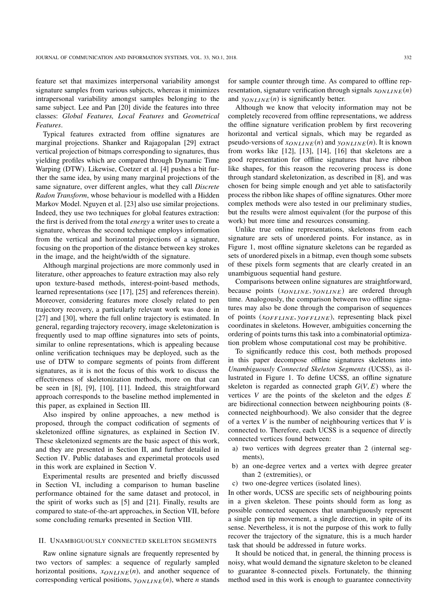feature set that maximizes interpersonal variability amongst signature samples from various subjects, whereas it minimizes intrapersonal variability amongst samples belonging to the same subject. Lee and Pan [20] divide the features into three classes: *Global Features, Local Features* and *Geometrical Features*.

Typical features extracted from offline signatures are marginal projections. Shanker and Rajagopalan [29] extract vertical projection of bitmaps corresponding to signatures, thus yielding profiles which are compared through Dynamic Time Warping (DTW). Likewise, Coetzer et al. [4] pushes a bit further the same idea, by using many marginal projections of the same signature, over different angles, what they call *Discrete Radon Transform*, whose behaviour is modelled with a Hidden Markov Model. Nguyen et al. [23] also use similar projections. Indeed, they use two techniques for global features extraction: the first is derived from the total *energy* a writer uses to create a signature, whereas the second technique employs information from the vertical and horizontal projections of a signature, focusing on the proportion of the distance between key strokes in the image, and the height/width of the signature.

Although marginal projections are more commonly used in literature, other approaches to feature extraction may also rely upon texture-based methods, interest-point-based methods, learned representations (see [17], [25] and references therein). Moreover, considering features more closely related to pen trajectory recovery, a particularly relevant work was done in [27] and [30], where the full online trajectory is estimated. In general, regarding trajectory recovery, image skeletonization is frequently used to map offline signatures into sets of points, similar to online representations, which is appealing because online verification techniques may be deployed, such as the use of DTW to compare segments of points from different signatures, as it is not the focus of this work to discuss the effectiveness of skeletonization methods, more on that can be seen in [8], [9], [10], [11]. Indeed, this straightforward approach corresponds to the baseline method implemented in this paper, as explained in Section III.

Also inspired by online approaches, a new method is proposed, through the compact codification of segments of skeletonized offline signatures, as explained in Section IV. These skeletonized segments are the basic aspect of this work, and they are presented in Section II, and further detailed in Section IV. Public databases and experimetal protocols used in this work are explained in Section V.

Experimental results are presented and briefly discussed in Section VI, including a comparison to human baseline performance obtained for the same dataset and protocol, in the spirit of works such as [5] and [21]. Finally, results are compared to state-of-the-art approaches, in Section VII, before some concluding remarks presented in Section VIII.

# II. UNAMBIGUOUSLY CONNECTED SKELETON SEGMENTS

Raw online signature signals are frequently represented by two vectors of samples: a sequence of regularly sampled horizontal positions,  $x_{ONLINE}(n)$ , and another sequence of corresponding vertical positions,  $y_{ONLINE}(n)$ , where *n* stands for sample counter through time. As compared to offline representation, signature verification through signals  $x_{ONLINE}(n)$ and  $y_{ONLINE}(n)$  is significantly better.

Although we know that velocity information may not be completely recovered from offline representations, we address the offline signature verification problem by first recovering horizontal and vertical signals, which may be regarded as pseudo-versions of  $x_{ONLINE}(n)$  and  $y_{ONLINE}(n)$ . It is known from works like [12], [13], [14], [16] that skeletons are a good representation for offline signatures that have ribbon like shapes, for this reason the recovering process is done through standard skeletonization, as described in [8], and was chosen for being simple enough and yet able to satisfactorily process the ribbon like shapes of offline signatures. Other more complex methods were also tested in our preliminary studies, but the results were almost equivalent (for the purpose of this work) but more time and resources consuming.

Unlike true online representations, skeletons from each signature are sets of unordered points. For instance, as in Figure 1, most offline signature skeletons can be regarded as sets of unordered pixels in a bitmap, even though some subsets of these pixels form segments that are clearly created in an unambiguous sequential hand gesture.

Comparisons between online signatures are straightforward, because points (*x<sub>ONLINE</sub>*, *y<sub>ONLINE</sub>*) are ordered through time. Analogously, the comparison between two offline signatures may also be done through the comparison of sequences of points (*x<sub>OFFLINE</sub>*, *y<sub>OFFLINE</sub>*), representing black pixel coordinates in skeletons. However, ambiguities concerning the ordering of points turns this task into a combinatorial optimization problem whose computational cost may be prohibitive.

To significantly reduce this cost, both methods proposed in this paper decompose offline signatures skeletons into *Unambiguously Connected Skeleton Segments* (UCSS), as illustrated in Figure 1. To define UCSS, an offline signature skeleton is regarded as connected graph  $G(V, E)$  where the vertices *V* are the points of the skeleton and the edges *E* are bidirectional connection between neighbouring points (8 connected neighbourhood). We also consider that the degree of a vertex *V* is the number of neighbouring vertices that *V* is connected to. Therefore, each UCSS is a sequence of directly connected vertices found between:

- a) two vertices with degrees greater than 2 (internal segments),
- b) an one-degree vertex and a vertex with degree greater than 2 (extremities), or
- c) two one-degree vertices (isolated lines).

In other words, UCSS are specific sets of neighbouring points in a given skeleton. These points should form as long as possible connected sequences that unambiguously represent a single pen tip movement, a single direction, in spite of its sense. Nevertheless, it is not the purpose of this work to fully recover the trajectory of the signature, this is a much harder task that should be addressed in future works.

It should be noticed that, in general, the thinning process is noisy, what would demand the signature skeleton to be cleaned to guarantee 8-connected pixels. Fortunately, the thinning method used in this work is enough to guarantee connectivity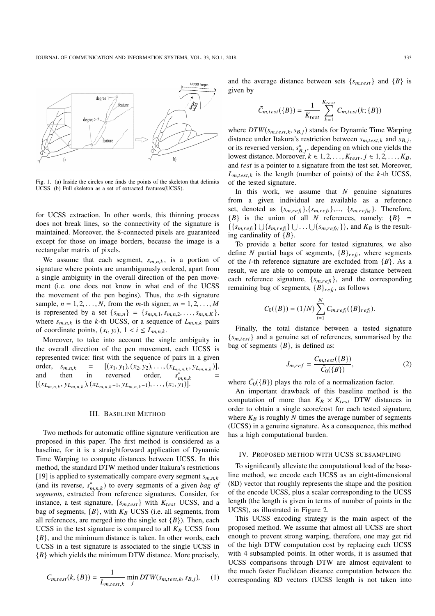

Fig. 1. (a) Inside the circles one finds the points of the skeleton that delimits UCSS. (b) Full skeleton as a set of extracted features(UCSS).

for UCSS extraction. In other words, this thinning process does not break lines, so the connectivity of the signature is maintained. Moreover, the 8-connected pixels are guaranteed except for those on image borders, because the image is a rectangular matrix of pixels.

We assume that each segment,  $s_{m,n,k}$ , is a portion of signature where points are unambiguously ordered, apart from a single ambiguity in the overall direction of the pen movement (i.e. one does not know in what end of the UCSS the movement of the pen begins). Thus, the *n*-th signature sample,  $n = 1, 2, ..., N$ , from the *m*-th signer,  $m = 1, 2, ..., M$ is represented by a set  $\{s_{m,n}\} = \{s_{m,n,1}, s_{m,n,2}, \ldots, s_{m,n,K}\},\$ where  $s_{m,n,k}$  is the *k*-th UCSS, or a sequence of  $L_{m,n,k}$  pairs of coordinate points,  $(x_i, y_i)$ ,  $1 < i \le L_{m,n,k}$ .

Moreover, to take into account the single ambiguity in the overall direction of the pen movement, each UCSS is represented twice: first with the sequence of pairs in a given order,  $s_{m,n,k} = [(x_1, y_1), (x_2, y_2), \dots, (x_{L_{m,n,k}}, y_{L_{m,n,k}})],$ and then in reversed order,  $s_{m,n,k}^*$ =  $[(x_{L_{m,n,k}}, y_{L_{m,n,k}}), (x_{L_{m,n,k}-1}, y_{L_{m,n,k}-1}), \ldots, (x_1, y_1)].$ 

#### III. BASELINE METHOD

Two methods for automatic offline signature verification are proposed in this paper. The first method is considered as a baseline, for it is a straightforward application of Dynamic Time Warping to compute distances between UCSS. In this method, the standard DTW method under Itakura's restrictions [19] is applied to systematically compare every segment  $s_{m,n,k}$ (and its reverse,  $s_{m,n,k}^*$ ) to every segments of a given *bag of segments*, extracted from reference signatures. Consider, for instance, a test signature,  $\{s_{m, test}\}\$  with  $K_{test}$  UCSS, and a bag of segments,  ${B}$ , with  $K_B$  UCSS (i.e. all segments, from all references, are merged into the single set  ${B}$ ). Then, each UCSS in the test signature is compared to all  $K_B$  UCSS from {*B*}, and the minimum distance is taken. In other words, each UCSS in a test signature is associated to the single UCSS in {*B*} which yields the minimum DTW distance. More precisely,

$$
C_{m,test}(k, \{B\}) = \frac{1}{L_{m,test,k}} \min_{j} DTW(s_{m,test,k}, s_{B,j}), \quad (1)
$$

and the average distance between sets  $\{s_{m, test}\}\$  and  $\{B\}\$ is given by

$$
\bar{C}_{m,test}(\lbrace B \rbrace) = \frac{1}{K_{test}} \sum_{k=1}^{K_{test}} C_{m,test}(k; \lbrace B \rbrace)
$$

where  $DTW(s_{m,test,k}, s_{B,j})$  stands for Dynamic Time Warping distance under Itakura's restriction between  $s_{m, test, k}$  and  $s_{B,j}$ , or its reversed version,  $s_{B,j}^*$ , depending on which one yields the lowest distance. Moreover,  $k \in 1, 2, \ldots, K_{test}, j \in 1, 2, \ldots, K_B$ , and *test* is a pointer to a signature from the test set. Moreover,  $L_{m \text{ test } k}$  is the length (number of points) of the *k*-th UCSS, of the tested signature.

In this work, we assume that *N* genuine signatures from a given individual are available as a reference set, denoted as  $\{s_{m,ref_1}\}, \{s_{m,ref_2}\}, \dots, \{s_{m,ref_N}\}.$  Therefore,  ${B}$  is the union of all *N* references, namely:  ${B}$  =  $\{\{s_{m,ref_1}\}\cup\{s_{m,ref_2}\}\cup\ldots\cup\{s_{m,ref_N}\}\}\text{, and }K_B\text{ is the result-}$ ing cardinality of {*B*}.

To provide a better score for tested signatures, we also define *N* partial bags of segments,  ${B}_{refi}$ , where segments of the *i*-th reference signature are excluded from {*B*}. As a result, we are able to compute an average distance between each reference signature,  $\{s_{m,ref_i}\}\$ , and the corresponding remaining bag of segments,  ${B}_{ref_i}$ , as follows

$$
\bar{C}_0({B}) = (1/N) \sum_{i=1}^N \bar{C}_{m,ref_i}({B}_{ref_i}).
$$

Finally, the total distance between a tested signature  ${s<sub>m,test</sub>}$  and a genuine set of references, summarised by the bag of segments  ${B}$ , is defined as:

$$
J_{m,ref} = \frac{\bar{C}_{m,test}(\{B\})}{\bar{C}_0(\{B\})},\tag{2}
$$

where  $\bar{C}_0({B})$  plays the role of a normalization factor.

An important drawback of this baseline method is the computation of more than  $K_B \times K_{test}$  DTW distances in order to obtain a single score/cost for each tested signature, where  $K_B$  is roughly  $N$  times the average number of segments (UCSS) in a genuine signature. As a consequence, this method has a high computational burden.

# IV. PROPOSED METHOD WITH UCSS SUBSAMPLING

To significantly alleviate the computational load of the baseline method, we encode each UCSS as an eight-dimensional (8D) vector that roughly represents the shape and the position of the encode UCSS, plus a scalar corresponding to the UCSS length (the length is given in terms of number of points in the UCSS), as illustrated in Figure 2.

This UCSS encoding strategy is the main aspect of the proposed method. We assume that almost all UCSS are short enough to prevent strong warping, therefore, one may get rid of the high DTW computation cost by replacing each UCSS with 4 subsampled points. In other words, it is assumed that UCSS comparisons through DTW are almost equivalent to the much faster Euclidean distance computation between the corresponding 8D vectors (UCSS length is not taken into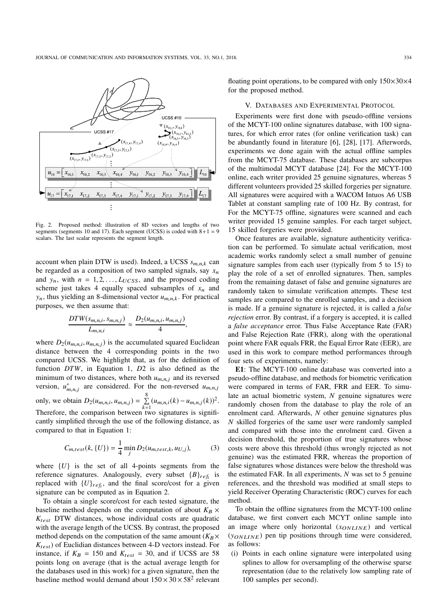

Fig. 2. Proposed method: illustration of 8D vectors and lengths of two segments (segments 10 and 17). Each segment (UCSS) is coded with  $8+1=9$ scalars. The last scalar represents the segment length.

account when plain DTW is used). Indeed, a UCSS  $s_{m,n,k}$  can be regarded as a composition of two sampled signals, say  $x_n$ and  $y_n$ , with  $n = 1, 2, \ldots, L_{UCSS}$ , and the proposed coding scheme just takes 4 equally spaced subsamples of  $x_n$  and  $y_n$ , thus yielding an 8-dimensional vector  $u_{m,n,k}$ . For practical purposes, we then assume that:

$$
\frac{DTW(s_{m,n,i}, s_{m,n,j})}{L_{m,n,i}} \approx \frac{D_2(u_{m,n,i}, u_{m,n,j})}{4},
$$

where  $D_2(u_{m,n,i}, u_{m,n,j})$  is the accumulated squared Euclidean distance between the 4 corresponding points in the two compared UCSS. We highlight that, as for the definition of function *DTW*, in Equation 1, *D*2 is also defined as the minimum of two distances, where both  $u_{m,n,j}$  and its reversed version,  $u_{m,n,j}^*$  are considered. For the non-reversed  $u_{m,n,j}$ only, we obtain  $D_2(u_{m,n,i}, u_{m,n,j}) = \sum_{i=1}^{N}$ 8  $\sum_{k=1}^{5} (u_{m,n,i}(k) - u_{m,n,j}(k))^2$ . Therefore, the comparison between two signatures is significantly simplified through the use of the following distance, as compared to that in Equation 1:

$$
C_{m, test}(k, \{U\}) = \frac{1}{4} \min_{j} D_2(u_{m, test, k}, u_{U, j}),
$$
 (3)

where  $\{U\}$  is the set of all 4-points segments from the reference signatures. Analogously, every subset  ${B}_{ref_i}$  is replaced with  $\{U\}_{ref_i}$ , and the final score/cost for a given signature can be computed as in Equation 2.

To obtain a single score/cost for each tested signature, the baseline method depends on the computation of about  $K_B \times$  $K_{test}$  DTW distances, whose individual costs are quadratic with the average length of the UCSS. By contrast, the proposed method depends on the computation of the same amount  $(K_B \times$ *K*<sub>test</sub>) of Euclidian distances between 4-D vectors instead. For instance, if  $K_B = 150$  and  $K_{test} = 30$ , and if UCSS are 58 points long on average (that is the actual average length for the databases used in this work) for a given signature, then the baseline method would demand about  $150 \times 30 \times 58^2$  relevant

floating point operations, to be compared with only  $150\times30\times4$ for the proposed method.

# V. DATABASES AND EXPERIMENTAL PROTOCOL

Experiments were first done with pseudo-offline versions of the MCYT-100 online signatures database, with 100 signatures, for which error rates (for online verification task) can be abundantly found in literature [6], [28], [17]. Afterwords, experiments we done again with the actual offline samples from the MCYT-75 database. These databases are subcorpus of the multimodal MCYT database [24]. For the MCYT-100 online, each writer provided 25 genuine signatures, whereas 5 different volunteers provided 25 skilled forgeries per signature. All signatures were acquired with a WACOM Intuos A6 USB Tablet at constant sampling rate of 100 Hz. By contrast, for For the MCYT-75 offline, signatures were scanned and each writer provided 15 genuine samples. For each target subject, 15 skilled forgeries were provided.

Once features are available, signature authenticity verification can be performed. To simulate actual verification, most academic works randomly select a small number of genuine signature samples from each user (typically from 5 to 15) to play the role of a set of enrolled signatures. Then, samples from the remaining dataset of false and genuine signatures are randomly taken to simulate verification attempts. These test samples are compared to the enrolled samples, and a decision is made. If a genuine signature is rejected, it is called a *false rejection* error. By contrast, if a forgery is accepted, it is called a *false acceptance* error. Thus False Acceptance Rate (FAR) and False Rejection Rate (FRR), along with the operational point where FAR equals FRR, the Equal Error Rate (EER), are used in this work to compare method performances through four sets of experiments, namely:

E1: The MCYT-100 online database was converted into a pseudo-offline database, and methods for biometric verification were compared in terms of FAR, FRR and EER. To simulate an actual biometric system, *N* genuine signatures were randomly chosen from the database to play the role of an enrolment card. Afterwards, *N* other genuine signatures plus *N* skilled forgeries of the same user were randomly sampled and compared with those into the enrolment card. Given a decision threshold, the proportion of true signatures whose costs were above this threshold (thus wrongly rejected as not genuine) was the estimated FRR, whereas the proportion of false signatures whose distances were below the threshold was the estimated FAR. In all experiments, *N* was set to 5 genuine references, and the threshold was modified at small steps to yield Receiver Operating Characteristic (ROC) curves for each method.

To obtain the offline signatures from the MCYT-100 online database, we first convert each MCYT online sample into an image where only horizontal  $(x_{ONLINE})$  and vertical  $(v_{ONLINE})$  pen tip positions through time were considered, as follows:

(i) Points in each online signature were interpolated using splines to allow for oversampling of the otherwise sparse representation (due to the relatively low sampling rate of 100 samples per second).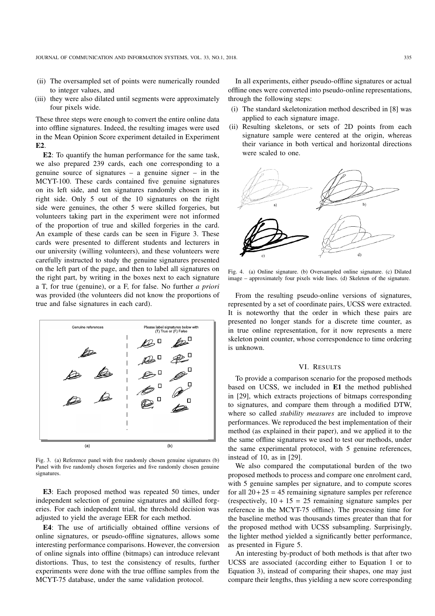- (ii) The oversampled set of points were numerically rounded to integer values, and
- (iii) they were also dilated until segments were approximately four pixels wide.

These three steps were enough to convert the entire online data into offline signatures. Indeed, the resulting images were used in the Mean Opinion Score experiment detailed in Experiment E2.

E2: To quantify the human performance for the same task, we also prepared 239 cards, each one corresponding to a genuine source of signatures – a genuine signer – in the MCYT-100. These cards contained five genuine signatures on its left side, and ten signatures randomly chosen in its right side. Only 5 out of the 10 signatures on the right side were genuines, the other 5 were skilled forgeries, but volunteers taking part in the experiment were not informed of the proportion of true and skilled forgeries in the card. An example of these cards can be seen in Figure 3. These cards were presented to different students and lecturers in our university (willing volunteers), and these volunteers were carefully instructed to study the genuine signatures presented on the left part of the page, and then to label all signatures on the right part, by writing in the boxes next to each signature a T, for true (genuine), or a F, for false. No further *a priori* was provided (the volunteers did not know the proportions of true and false signatures in each card).



Fig. 3. (a) Reference panel with five randomly chosen genuine signatures (b) Panel with five randomly chosen forgeries and five randomly chosen genuine signatures.

E3: Each proposed method was repeated 50 times, under independent selection of genuine signatures and skilled forgeries. For each independent trial, the threshold decision was adjusted to yield the average EER for each method.

E4: The use of artificially obtained offline versions of online signatures, or pseudo-offline signatures, allows some interesting performance comparisons. However, the conversion of online signals into offline (bitmaps) can introduce relevant distortions. Thus, to test the consistency of results, further experiments were done with the true offline samples from the MCYT-75 database, under the same validation protocol.

In all experiments, either pseudo-offline signatures or actual offline ones were converted into pseudo-online representations, through the following steps:

- (i) The standard skeletonization method described in [8] was applied to each signature image.
- (ii) Resulting skeletons, or sets of 2D points from each signature sample were centered at the origin, whereas their variance in both vertical and horizontal directions were scaled to one.



Fig. 4. (a) Online signature. (b) Oversampled online signature. (c) Dilated image – approximately four pixels wide lines. (d) Skeleton of the signature.

From the resulting pseudo-online versions of signatures, represented by a set of coordinate pairs, UCSS were extracted. It is noteworthy that the order in which these pairs are presented no longer stands for a discrete time counter, as in true online representation, for it now represents a mere skeleton point counter, whose correspondence to time ordering is unknown.

#### VI. RESULTS

To provide a comparison scenario for the proposed methods based on UCSS, we included in E1 the method published in [29], which extracts projections of bitmaps corresponding to signatures, and compare them through a modified DTW, where so called *stability measures* are included to improve performances. We reproduced the best implementation of their method (as explained in their paper), and we applied it to the the same offline signatures we used to test our methods, under the same experimental protocol, with 5 genuine references, instead of 10, as in [29].

We also compared the computational burden of the two proposed methods to process and compare one enrolment card, with 5 genuine samples per signature, and to compute scores for all  $20+25 = 45$  remaining signature samples per reference (respectively,  $10 + 15 = 25$  remaining signature samples per reference in the MCYT-75 offline). The processing time for the baseline method was thousands times greater than that for the proposed method with UCSS subsampling. Surprisingly, the lighter method yielded a significantly better performance, as presented in Figure 5.

An interesting by-product of both methods is that after two UCSS are associated (according either to Equation 1 or to Equation 3), instead of comparing their shapes, one may just compare their lengths, thus yielding a new score corresponding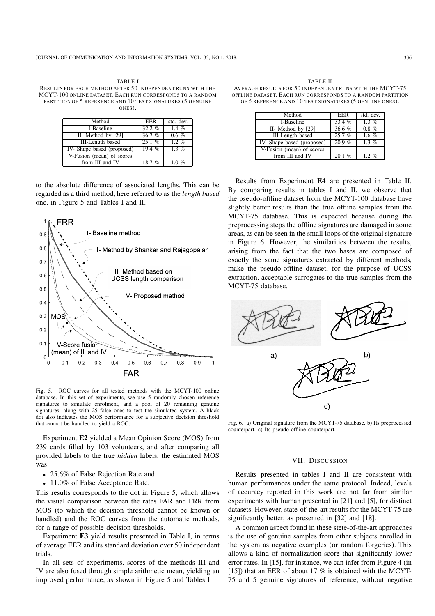| Method                    | EER       | std. dev. |
|---------------------------|-----------|-----------|
| I-Baseline                | 32.2 $\%$ | 1.4 $%$   |
| II- Method by [29]        | 36.7%     | $0.6 \%$  |
| III-Length based          | 25.1%     | $1.2\%$   |
| IV-Shape based (proposed) | 19.4%     | $1.3\%$   |
| V-Fusion (mean) of scores |           |           |
| from III and IV           | 18.7 %    | $1.0 \%$  |

to the absolute difference of associated lengths. This can be regarded as a third method, here referred to as the *length based* one, in Figure 5 and Tables I and II.



Fig. 5. ROC curves for all tested methods with the MCYT-100 online database. In this set of experiments, we use 5 randomly chosen reference signatures to simulate enrolment, and a pool of 20 remaining genuine signatures, along with 25 false ones to test the simulated system. A black dot also indicates the MOS performance for a subjective decision threshold that cannot be handled to yield a ROC.

Experiment E2 yielded a Mean Opinion Score (MOS) from 239 cards filled by 103 volunteers, and after comparing all provided labels to the true *hidden* labels, the estimated MOS was:

- 25.6% of False Rejection Rate and
- 11.0% of False Acceptance Rate.

This results corresponds to the dot in Figure 5, which allows the visual comparison between the rates FAR and FRR from MOS (to which the decision threshold cannot be known or handled) and the ROC curves from the automatic methods, for a range of possible decision thresholds.

Experiment E3 yield results presented in Table I, in terms of average EER and its standard deviation over 50 independent trials.

In all sets of experiments, scores of the methods III and IV are also fused through simple arithmetic mean, yielding an improved performance, as shown in Figure 5 and Tables I.

TABLE II AVERAGE RESULTS FOR 50 INDEPENDENT RUNS WITH THE MCYT-75 OFFLINE DATASET. EACH RUN CORRESPONDS TO A RANDOM PARTITION OF 5 REFERENCE AND 10 TEST SIGNATURES (5 GENUINE ONES).

| Method                    | EER      | std. dev. |
|---------------------------|----------|-----------|
| I-Baseline                | 33.4%    | $1.3\%$   |
| II- Method by [29]        | 36.6 $%$ | $0.8 \%$  |
| III-Length based          | 25.7%    | 1.6 %     |
| IV-Shape based (proposed) | 20.9%    | $1.3\%$   |
| V-Fusion (mean) of scores |          |           |
| from III and IV           | 20.1%    | $1.2~\%$  |

Results from Experiment E4 are presented in Table II. By comparing results in tables I and II, we observe that the pseudo-offline dataset from the MCYT-100 database have slightly better results than the true offline samples from the MCYT-75 database. This is expected because during the preprocessing steps the offline signatures are damaged in some areas, as can be seen in the small loops of the original signature in Figure 6. However, the similarities between the results, arising from the fact that the two bases are composed of exactly the same signatures extracted by different methods, make the pseudo-offline dataset, for the purpose of UCSS extraction, acceptable surrogates to the true samples from the MCYT-75 database.



Fig. 6. a) Original signature from the MCYT-75 database. b) Its preprocessed counterpart. c) Its pseudo-offline counterpart.

# VII. DISCUSSION

Results presented in tables I and II are consistent with human performances under the same protocol. Indeed, levels of accuracy reported in this work are not far from similar experiments with human presented in [21] and [5], for distinct datasets. However, state-of-the-art results for the MCYT-75 are significantly better, as presented in [32] and [18].

A common aspect found in these stete-of-the-art approaches is the use of genuine samples from other subjects enrolled in the system as negative examples (or random forgeries). This allows a kind of normalization score that significantly lower error rates. In [15], for instance, we can infer from Figure 4 (in [15]) that an EER of about 17 % is obtained with the MCYT-75 and 5 genuine signatures of reference, without negative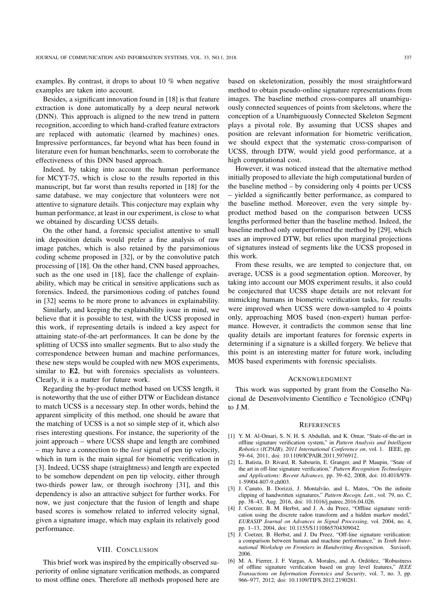examples. By contrast, it drops to about 10 % when negative examples are taken into account.

Besides, a significant innovation found in [18] is that feature extraction is done automatically by a deep neural network (DNN). This approach is aligned to the new trend in pattern recognition, according to which hand-crafted feature extractors are replaced with automatic (learned by machines) ones. Impressive performances, far beyond what has been found in literature even for human benchmarks, seem to corroborate the effectiveness of this DNN based approach.

Indeed, by taking into account the human performance for MCYT-75, which is close to the results reported in this manuscript, but far worst than results reported in [18] for the same database, we may conjecture that volunteers were not attentive to signature details. This conjecture may explain why human performance, at least in our experiment, is close to what we obtained by discarding UCSS details.

On the other hand, a forensic specialist attentive to small ink deposition details would prefer a fine analysis of raw image patches, which is also retained by the parsimonious coding scheme proposed in [32], or by the convolutive patch processing of [18]. On the other hand, CNN based approaches, such as the one used in [18], face the challenge of explainability, which may be critical in sensitive applications such as forensics. Indeed, the parsimonious coding of patches found in [32] seems to be more prone to advances in explainability.

Similarly, and keeping the explainability issue in mind, we believe that it is possible to test, with the UCSS proposed in this work, if representing details is indeed a key aspect for attaining state-of-the-art performances. It can be done by the splitting of UCSS into smaller segments. But to also study the correspondence between human and machine performances, these new steps would be coupled with new MOS experiments, similar to E2, but with forensics specialists as volunteers. Clearly, it is a matter for future work.

Regarding the by-product method based on UCSS length, it is noteworthy that the use of either DTW or Euclidean distance to match UCSS is a necessary step. In other words, behind the apparent simplicity of this method, one should be aware that the matching of UCSS is a not so simple step of it, which also rises interesting questions. For instance, the superiority of the joint approach – where UCSS shape and length are combined – may have a connection to the *lost* signal of pen tip velocity, which in turn is the main signal for biometric verification in [3]. Indeed, UCSS shape (straightness) and length are expected to be somehow dependent on pen tip velocity, either through two-thirds power law, or through isochrony [31], and this dependency is also an attractive subject for further works. For now, we just conjecture that the fusion of length and shape based scores is somehow related to inferred velocity signal, given a signature image, which may explain its relatively good performance.

# VIII. CONCLUSION

This brief work was inspired by the empirically observed superiority of online signature verification methods, as compared to most offline ones. Therefore all methods proposed here are based on skeletonization, possibly the most straightforward method to obtain pseudo-online signature representations from images. The baseline method cross-compares all unambiguously connected sequences of points from skeletons, where the conception of a Unambiguously Connected Skeleton Segment plays a pivotal role. By assuming that UCSS shapes and position are relevant information for biometric verification, we should expect that the systematic cross-comparison of UCSS, through DTW, would yield good performance, at a high computational cost.

However, it was noticed instead that the alternative method initially proposed to alleviate the high computational burden of the baseline method – by considering only 4 points per UCSS – yielded a significantly better performance, as compared to the baseline method. Moreover, even the very simple byproduct method based on the comparison between UCSS lengths performed better than the baseline method. Indeed, the baseline method only outperformed the method by [29], which uses an improved DTW, but relies upon marginal projections of signatures instead of segments like the UCSS proposed in this work.

From these results, we are tempted to conjecture that, on average, UCSS is a good segmentation option. Moreover, by taking into account our MOS experiment results, it also could be conjectured that UCSS shape details are not relevant for mimicking humans in biometric verification tasks, for results were improved when UCSS were down-sampled to 4 points only, approaching MOS based (non-expert) human performance. However, it contradicts the common sense that line quality details are important features for forensic experts in determining if a signature is a skilled forgery. We believe that this point is an interesting matter for future work, including MOS based experiments with forensic specialists.

#### ACKNOWLEDGMENT

This work was supported by grant from the Conselho Nacional de Desenvolvimento Científico e Tecnológico (CNPq) to J.M.

#### **REFERENCES**

- [1] Y. M. Al-Omari, S. N. H. S. Abdullah, and K. Omar, "State-of-the-art in offline signature verification system," in *Pattern Analysis and Intelligent Robotics (ICPAIR), 2011 International Conference on*, vol. 1. IEEE, pp. 59–64, 2011, doi: 10.1109/ICPAIR.2011.5976912.
- [2] L. Batista, D. Rivard, R. Sabourin, E. Granger, and P. Maupin, "State of the art in off-line signature verification," *Pattern Recognition Technologies and Applications: Recent Advances*, pp. 39–62, 2008, doi: 10.4018/978- 1-59904-807-9.ch003.
- [3] J. Canuto, B. Dorizzi, J. Montalvão, and L. Matos, "On the infinite clipping of handwritten signatures," *Pattern Recogn. Lett.*, vol. 79, no. C, pp. 38–43, Aug. 2016, doi: 10.1016/j.patrec.2016.04.026.
- [4] J. Coetzer, B. M. Herbst, and J. A. du Preez, "Offline signature verification using the discrete radon transform and a hidden markov model," *EURASIP Journal on Advances in Signal Processing*, vol. 2004, no. 4, pp. 1–13, 2004, doi: 10.1155/S1110865704309042.
- [5] J. Coetzer, B. Herbst, and J. Du Preez, "Off-line signature verification: a comparison between human and machine performance," in *Tenth International Workshop on Frontiers in Handwriting Recognition*. Suvisoft, 2006.
- [6] M. A. Fierrer, J. F. Vargas, A. Morales, and A. Ordóñez, "Robustness of offline signature verification based on gray level features," *IEEE Transactions on Information Forensics and Security*, vol. 7, no. 3, pp. 966–977, 2012, doi: 10.1109/TIFS.2012.2190281.